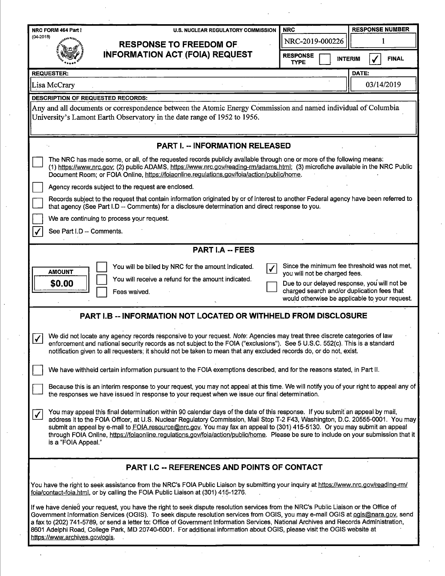| NRC FORM 464 Part I<br><b>U.S. NUCLEAR REGULATORY COMMISSION</b>                                                                                                                                                                                                                                                                                                                                                                                                                                                                                                                  | <b>NRC</b>                                                                                                                                    |                | <b>RESPONSE NUMBER</b> |              |  |  |
|-----------------------------------------------------------------------------------------------------------------------------------------------------------------------------------------------------------------------------------------------------------------------------------------------------------------------------------------------------------------------------------------------------------------------------------------------------------------------------------------------------------------------------------------------------------------------------------|-----------------------------------------------------------------------------------------------------------------------------------------------|----------------|------------------------|--------------|--|--|
| $(04 - 2018)$<br><b>RESPONSE TO FREEDOM OF.</b>                                                                                                                                                                                                                                                                                                                                                                                                                                                                                                                                   | NRC-2019-000226                                                                                                                               |                | 1                      |              |  |  |
| <b>INFORMATION ACT (FOIA) REQUEST</b>                                                                                                                                                                                                                                                                                                                                                                                                                                                                                                                                             | <b>RESPONSE</b><br><b>TYPE</b>                                                                                                                | <b>INTERIM</b> |                        | <b>FINAL</b> |  |  |
| <b>REQUESTER:</b>                                                                                                                                                                                                                                                                                                                                                                                                                                                                                                                                                                 |                                                                                                                                               | DATE:          |                        |              |  |  |
| Lisa McCrary                                                                                                                                                                                                                                                                                                                                                                                                                                                                                                                                                                      |                                                                                                                                               |                |                        | 03/14/2019   |  |  |
| <b>DESCRIPTION OF REQUESTED RECORDS:</b>                                                                                                                                                                                                                                                                                                                                                                                                                                                                                                                                          |                                                                                                                                               |                |                        |              |  |  |
| Any and all documents or correspondence between the Atomic Energy Commission and named individual of Columbia<br>University's Lamont Earth Observatory in the date range of 1952 to 1956.                                                                                                                                                                                                                                                                                                                                                                                         |                                                                                                                                               |                |                        |              |  |  |
| <b>PART I. - INFORMATION RELEASED</b>                                                                                                                                                                                                                                                                                                                                                                                                                                                                                                                                             |                                                                                                                                               |                |                        |              |  |  |
| The NRC has made some, or all, of the requested records publicly available through one or more of the following means:<br>(1) https://www.nrc.gov; (2) public ADAMS, https://www.nrc.gov/reading-rm/adams.html; (3) microfiche available in the NRC Public<br>Document Room; or FOIA Online, https://foiaonline.regulations.gov/foia/action/public/home.                                                                                                                                                                                                                          |                                                                                                                                               |                |                        |              |  |  |
| Agency records subject to the request are enclosed.                                                                                                                                                                                                                                                                                                                                                                                                                                                                                                                               |                                                                                                                                               |                |                        |              |  |  |
| Records subject to the request that contain information originated by or of interest to another Federal agency have been referred to<br>that agency (See Part I.D -- Comments) for a disclosure determination and direct response to you.                                                                                                                                                                                                                                                                                                                                         |                                                                                                                                               |                |                        |              |  |  |
| We are continuing to process your request.                                                                                                                                                                                                                                                                                                                                                                                                                                                                                                                                        |                                                                                                                                               |                |                        |              |  |  |
| See Part I.D -- Comments.                                                                                                                                                                                                                                                                                                                                                                                                                                                                                                                                                         |                                                                                                                                               |                |                        |              |  |  |
| <b>PART I.A -- FEES</b>                                                                                                                                                                                                                                                                                                                                                                                                                                                                                                                                                           |                                                                                                                                               |                |                        |              |  |  |
| You will be billed by NRC for the amount indicated.                                                                                                                                                                                                                                                                                                                                                                                                                                                                                                                               | Since the minimum fee threshold was not met,                                                                                                  |                |                        |              |  |  |
| <b>AMOUNT</b><br>You will receive a refund for the amount indicated.                                                                                                                                                                                                                                                                                                                                                                                                                                                                                                              | you will not be charged fees.                                                                                                                 |                |                        |              |  |  |
| \$0.00<br>Fees waived.                                                                                                                                                                                                                                                                                                                                                                                                                                                                                                                                                            | Due to our delayed response, you will not be<br>charged search and/or duplication fees that<br>would otherwise be applicable to your request. |                |                        |              |  |  |
| PART I.B -- INFORMATION NOT LOCATED OR WITHHELD FROM DISCLOSURE                                                                                                                                                                                                                                                                                                                                                                                                                                                                                                                   |                                                                                                                                               |                |                        |              |  |  |
| We did not locate any agency records responsive to your request. Note: Agencies may treat three discrete categories of law<br>$\checkmark$<br>enforcement and national security records as not subject to the FOIA ("exclusions"). See 5 U.S.C. 552(c). This is a standard<br>notification given to all requesters; it should not be taken to mean that any excluded records do, or do not, exist.                                                                                                                                                                                |                                                                                                                                               |                |                        |              |  |  |
| We have withheld certain information pursuant to the FOIA exemptions described, and for the reasons stated, in Part II.                                                                                                                                                                                                                                                                                                                                                                                                                                                           |                                                                                                                                               |                |                        |              |  |  |
| Because this is an interim response to your request, you may not appeal at this time. We will notify you of your right to appeal any of<br>the responses we have issued in response to your request when we issue our final determination.                                                                                                                                                                                                                                                                                                                                        |                                                                                                                                               |                |                        |              |  |  |
| You may appeal this final determination within 90 calendar days of the date of this response. If you submit an appeal by mail,<br>$\checkmark$<br>address it to the FOIA Officer, at U.S. Nuclear Regulatory Commission, Mail Stop T-2 F43, Washington, D.C. 20555-0001. You may<br>submit an appeal by e-mail to FOIA.resource@nrc.gov. You may fax an appeal to (301) 415-5130. Or you may submit an appeal<br>through FOIA Online, https://foiaonline.regulations.gov/foia/action/public/home. Please be sure to include on your submission that it<br>is a "FOIA Appeal."     |                                                                                                                                               |                |                        |              |  |  |
| PART I.C -- REFERENCES AND POINTS OF CONTACT                                                                                                                                                                                                                                                                                                                                                                                                                                                                                                                                      |                                                                                                                                               |                |                        |              |  |  |
| You have the right to seek assistance from the NRC's FOIA Public Liaison by submitting your inquiry at https://www.nrc.gov/reading-rm/<br>foia/contact-foia.html, or by calling the FOIA Public Liaison at (301) 415-1276.                                                                                                                                                                                                                                                                                                                                                        |                                                                                                                                               |                |                        |              |  |  |
| If we have denied your request, you have the right to seek dispute resolution services from the NRC's Public Liaison or the Office of<br>Government Information Services (OGIS). To seek dispute resolution services from OGIS, you may e-mail OGIS at ogis@nara.gov, send<br>a fax to (202) 741-5789, or send a letter to: Office of Government Information Services, National Archives and Records Administration,<br>8601 Adelphi Road, College Park, MD 20740-6001. For additional information about OGIS, please visit the OGIS website at<br>https://www.archives.gov/ogis. |                                                                                                                                               |                |                        |              |  |  |

 $\frac{1}{2}$ 

 $\mathcal{A}^{\mathcal{A}}$